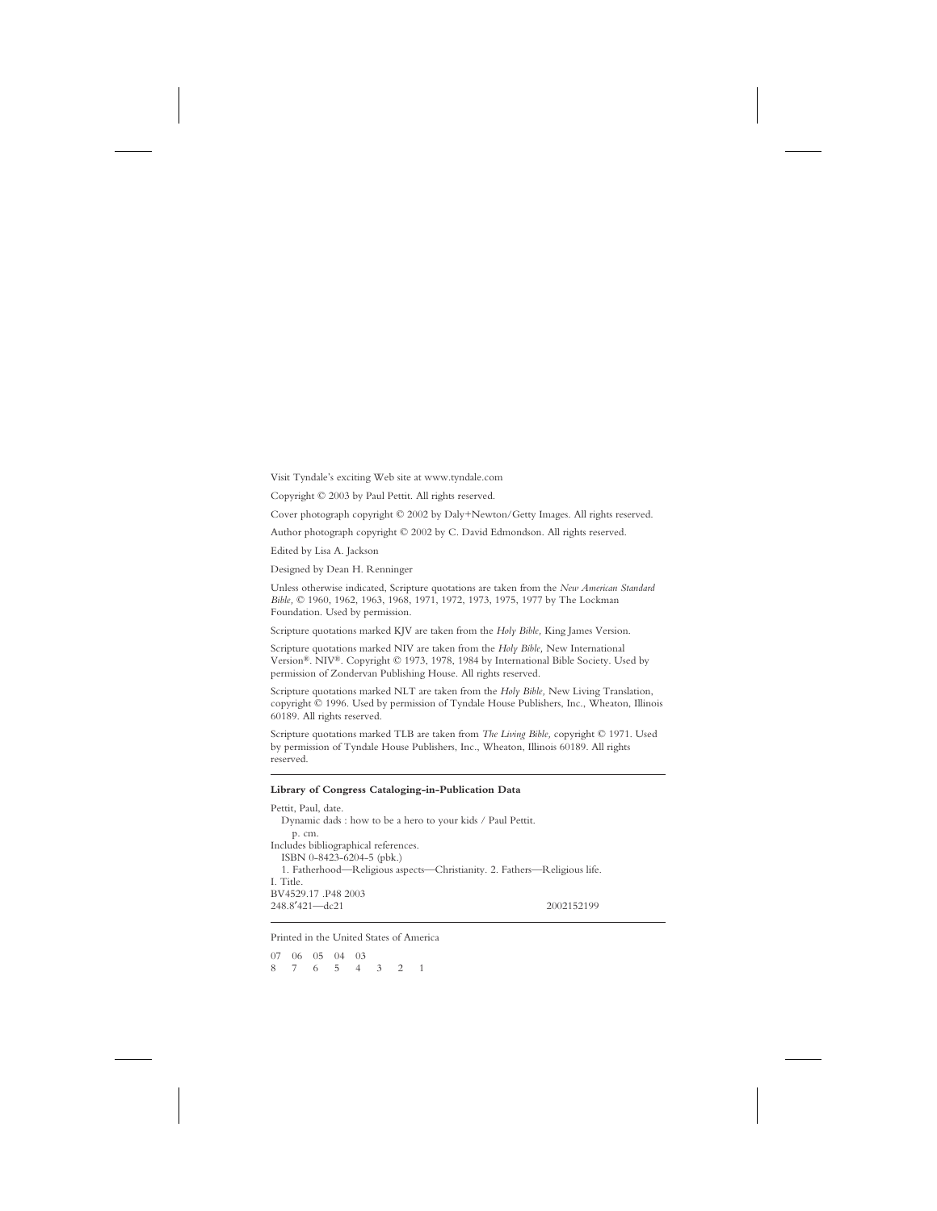Visit Tyndale's exciting Web site at www.tyndale.com

Copyright © 2003 by Paul Pettit. All rights reserved.

Cover photograph copyright © 2002 by Daly+Newton/Getty Images. All rights reserved.

Author photograph copyright © 2002 by C. David Edmondson. All rights reserved.

Edited by Lisa A. Jackson

Designed by Dean H. Renninger

Unless otherwise indicated, Scripture quotations are taken from the *New American Standard Bible,* © 1960, 1962, 1963, 1968, 1971, 1972, 1973, 1975, 1977 by The Lockman Foundation. Used by permission.

Scripture quotations marked KJV are taken from the *Holy Bible,* King James Version.

Scripture quotations marked NIV are taken from the *Holy Bible,* New International Version®. NIV®. Copyright © 1973, 1978, 1984 by International Bible Society. Used by permission of Zondervan Publishing House. All rights reserved.

Scripture quotations marked NLT are taken from the *Holy Bible,* New Living Translation, copyright © 1996. Used by permission of Tyndale House Publishers, Inc., Wheaton, Illinois 60189. All rights reserved.

Scripture quotations marked TLB are taken from *The Living Bible,* copyright © 1971. Used by permission of Tyndale House Publishers, Inc., Wheaton, Illinois 60189. All rights reserved.

#### **Library of Congress Cataloging-in-Publication Data**

Pettit, Paul, date. Dynamic dads : how to be a hero to your kids / Paul Pettit. p. cm. Includes bibliographical references. ISBN 0-8423-6204-5 (pbk.) 1. Fatherhood—Religious aspects—Christianity. 2. Fathers—Religious life. I. Title. BV4529.17 .P48 2003 248.8′421—dc21 2002152199

Printed in the United States of America

07 06 05 04 03 87654321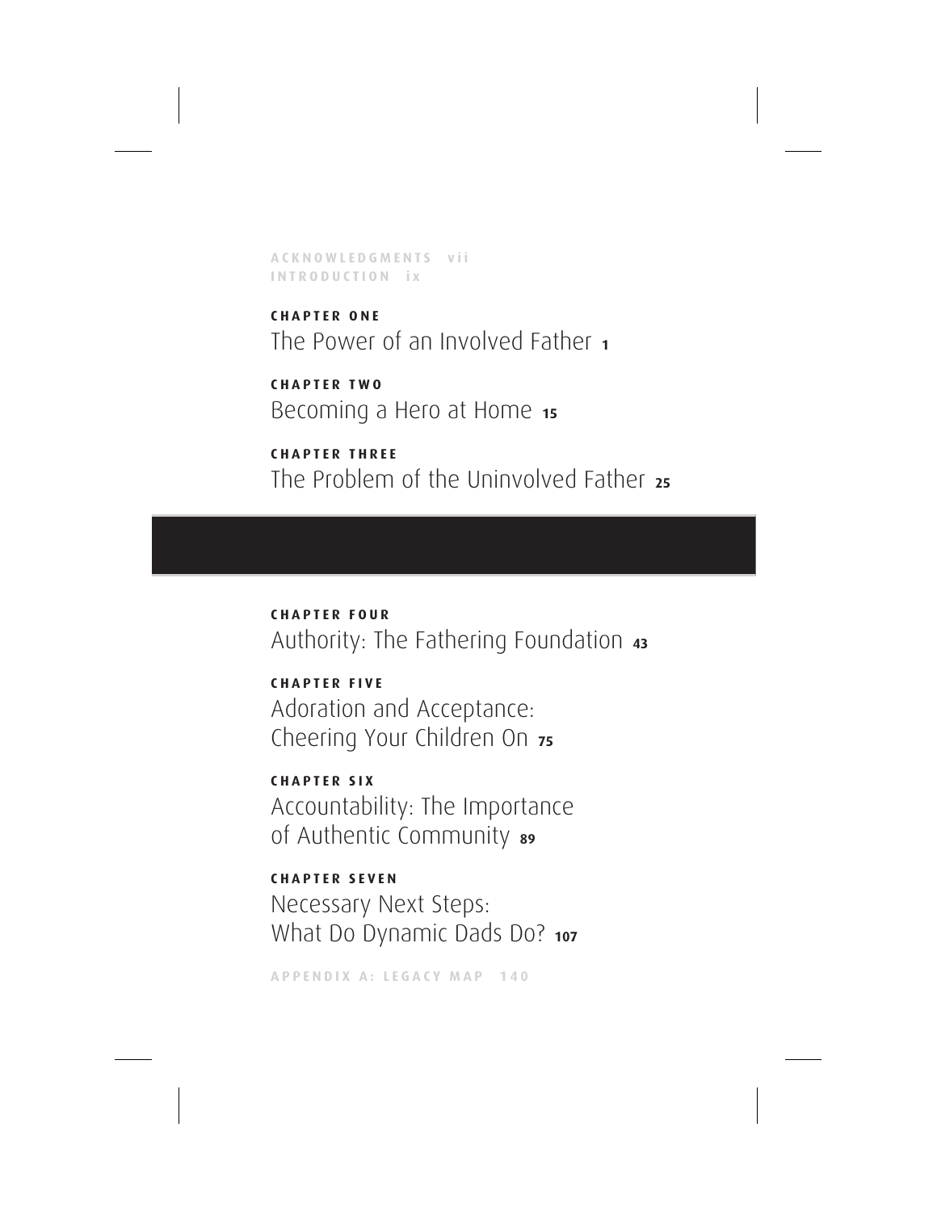**ACKNOWLEDGMENTS vii INTRODUCTION ix**

**CHAPTER ONE** The Power of an Involved Father **<sup>1</sup>**

**CHAPTER TWO** Becoming a Hero at Home **<sup>15</sup>**

**CHAPTER THREE** The Problem of the Uninvolved Father **<sup>25</sup>**

**CHAPTER FOUR** Authority: The Fathering Foundation **<sup>43</sup>**

**CHAPTER FIVE** Adoration and Acceptance: Cheering Your Children On **<sup>75</sup>**

**CHAPTER SIX** Accountability: The Importance of Authentic Community **<sup>89</sup>**

**CHAPTER SEVEN** Necessary Next Steps: What Do Dynamic Dads Do? 107

**APPENDIX A: LEGACY MAP 140**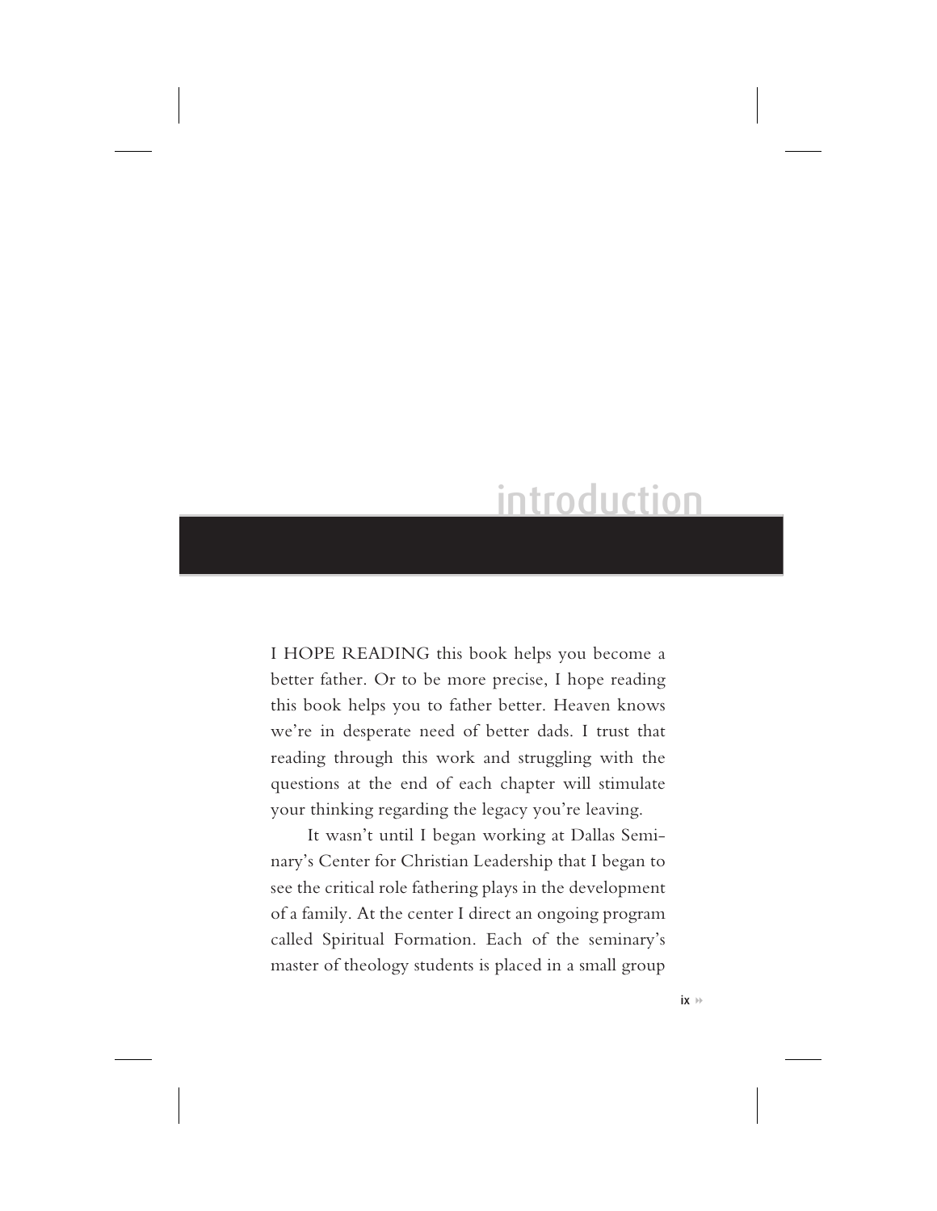### introduction

I HOPE READING this book helps you become a better father. Or to be more precise, I hope reading this book helps you to father better. Heaven knows we're in desperate need of better dads. I trust that reading through this work and struggling with the questions at the end of each chapter will stimulate your thinking regarding the legacy you're leaving.

It wasn't until I began working at Dallas Seminary's Center for Christian Leadership that I began to see the critical role fathering plays in the development of a family. At the center I direct an ongoing program called Spiritual Formation. Each of the seminary's master of theology students is placed in a small group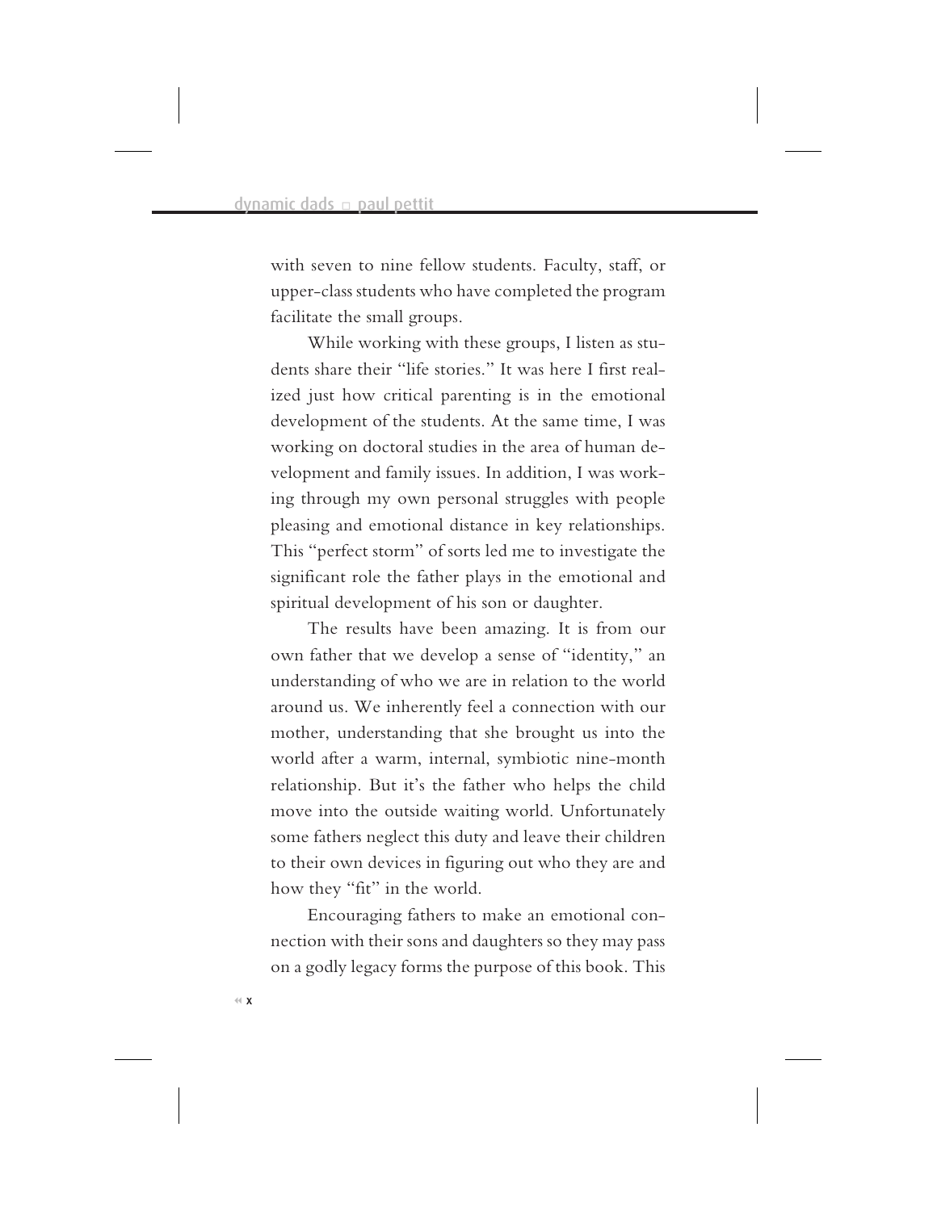with seven to nine fellow students. Faculty, staff, or upper-class students who have completed the program facilitate the small groups.

While working with these groups, I listen as students share their "life stories." It was here I first realized just how critical parenting is in the emotional development of the students. At the same time, I was working on doctoral studies in the area of human development and family issues. In addition, I was working through my own personal struggles with people pleasing and emotional distance in key relationships. This "perfect storm" of sorts led me to investigate the significant role the father plays in the emotional and spiritual development of his son or daughter.

The results have been amazing. It is from our own father that we develop a sense of "identity," an understanding of who we are in relation to the world around us. We inherently feel a connection with our mother, understanding that she brought us into the world after a warm, internal, symbiotic nine-month relationship. But it's the father who helps the child move into the outside waiting world. Unfortunately some fathers neglect this duty and leave their children to their own devices in figuring out who they are and how they "fit" in the world.

Encouraging fathers to make an emotional connection with their sons and daughters so they may pass on a godly legacy forms the purpose of this book. This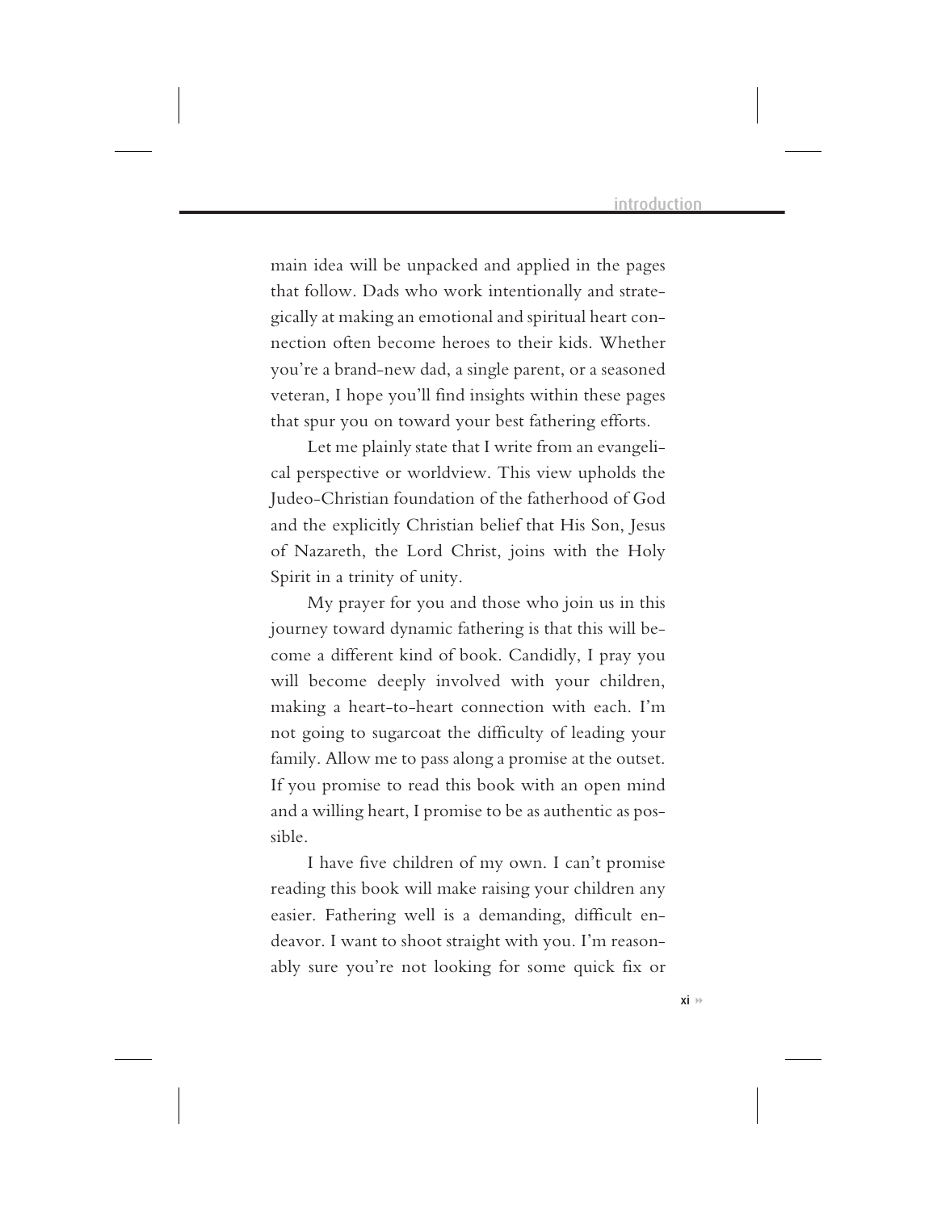main idea will be unpacked and applied in the pages that follow. Dads who work intentionally and strategically at making an emotional and spiritual heart connection often become heroes to their kids. Whether you're a brand-new dad, a single parent, or a seasoned veteran, I hope you'll find insights within these pages that spur you on toward your best fathering efforts.

Let me plainly state that I write from an evangelical perspective or worldview. This view upholds the Judeo-Christian foundation of the fatherhood of God and the explicitly Christian belief that His Son, Jesus of Nazareth, the Lord Christ, joins with the Holy Spirit in a trinity of unity.

My prayer for you and those who join us in this journey toward dynamic fathering is that this will become a different kind of book. Candidly, I pray you will become deeply involved with your children, making a heart-to-heart connection with each. I'm not going to sugarcoat the difficulty of leading your family. Allow me to pass along a promise at the outset. If you promise to read this book with an open mind and a willing heart, I promise to be as authentic as possible.

I have five children of my own. I can't promise reading this book will make raising your children any easier. Fathering well is a demanding, difficult endeavor. I want to shoot straight with you. I'm reasonably sure you're not looking for some quick fix or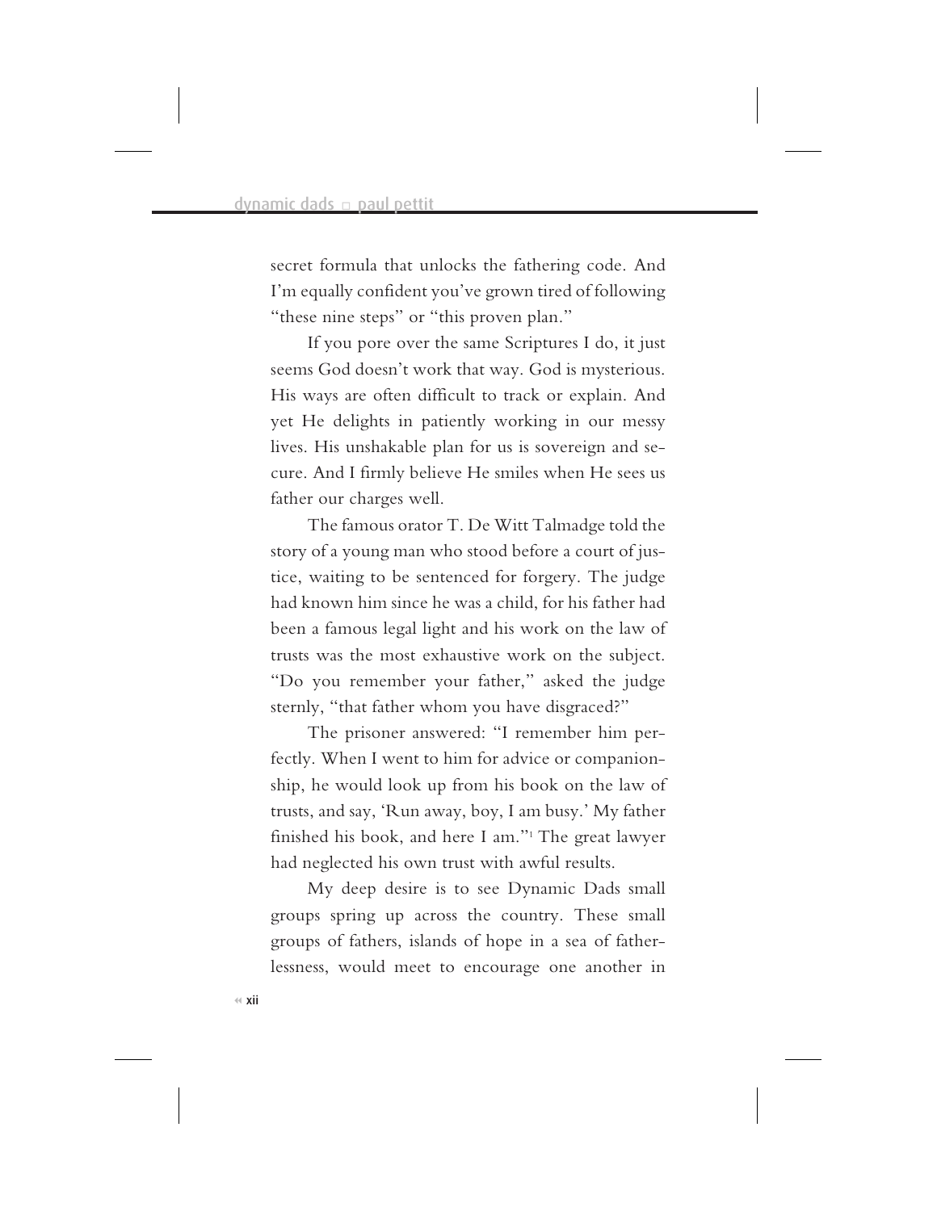secret formula that unlocks the fathering code. And I'm equally confident you've grown tired of following "these nine steps" or "this proven plan."

If you pore over the same Scriptures I do, it just seems God doesn't work that way. God is mysterious. His ways are often difficult to track or explain. And yet He delights in patiently working in our messy lives. His unshakable plan for us is sovereign and secure. And I firmly believe He smiles when He sees us father our charges well.

The famous orator T. De Witt Talmadge told the story of a young man who stood before a court of justice, waiting to be sentenced for forgery. The judge had known him since he was a child, for his father had been a famous legal light and his work on the law of trusts was the most exhaustive work on the subject. "Do you remember your father," asked the judge sternly, "that father whom you have disgraced?"

The prisoner answered: "I remember him perfectly. When I went to him for advice or companionship, he would look up from his book on the law of trusts, and say, 'Run away, boy, I am busy.' My father finished his book, and here I am."1 The great lawyer had neglected his own trust with awful results.

My deep desire is to see Dynamic Dads small groups spring up across the country. These small groups of fathers, islands of hope in a sea of fatherlessness, would meet to encourage one another in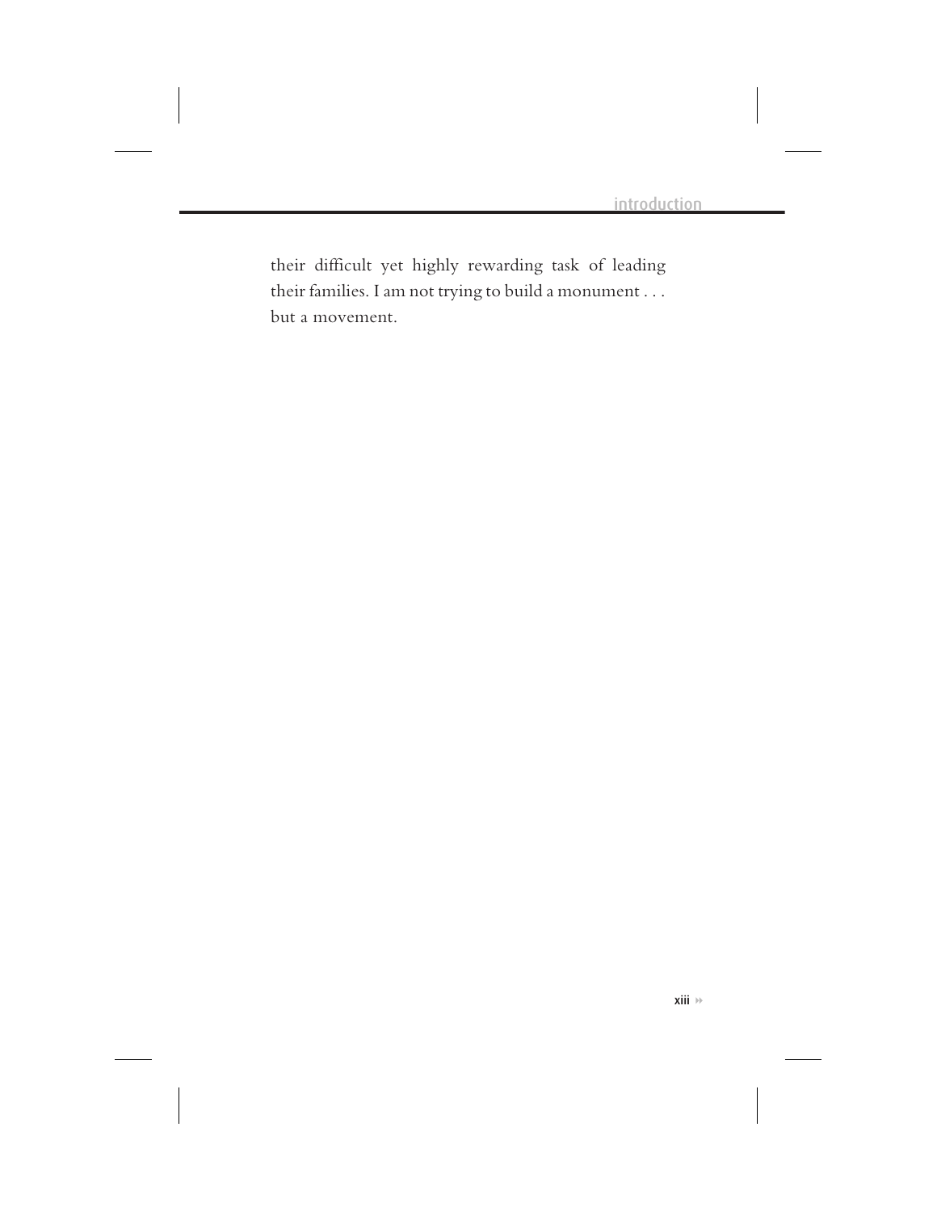their difficult yet highly rewarding task of leading their families. I am not trying to build a monument . . . but a movement.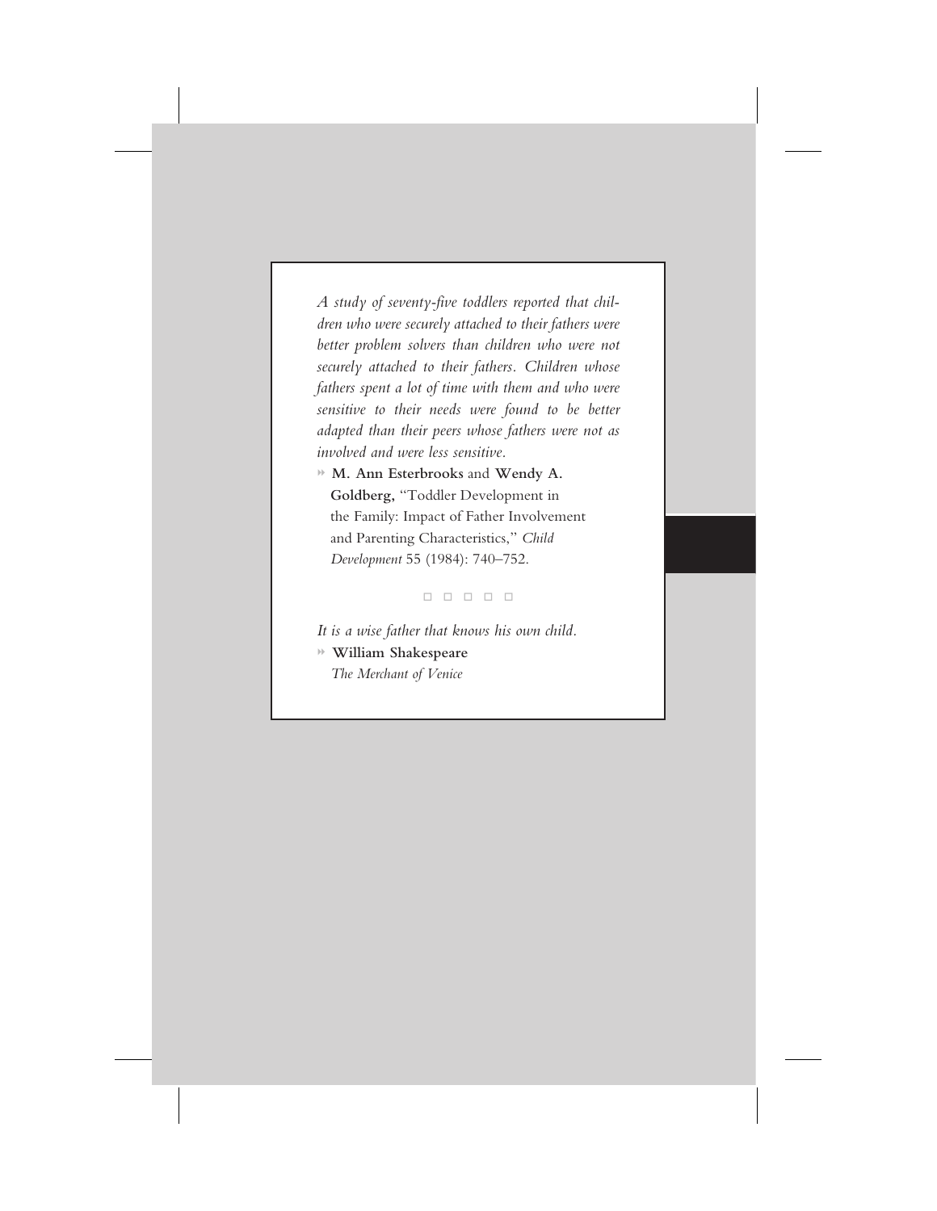*A study of seventy-five toddlers reported that children who were securely attached to their fathers were better problem solvers than children who were not securely attached to their fathers. Children whose fathers spent a lot of time with them and who were sensitive to their needs were found to be better adapted than their peers whose fathers were not as involved and were less sensitive.*

**M. Ann Esterbrooks** and **Wendy A. Goldberg,** "Toddler Development in the Family: Impact of Father Involvement and Parenting Characteristics," *Child Development* 55 (1984): 740–752.

----

*It is a wise father that knows his own child.* **William Shakespeare** *The Merchant of Venice*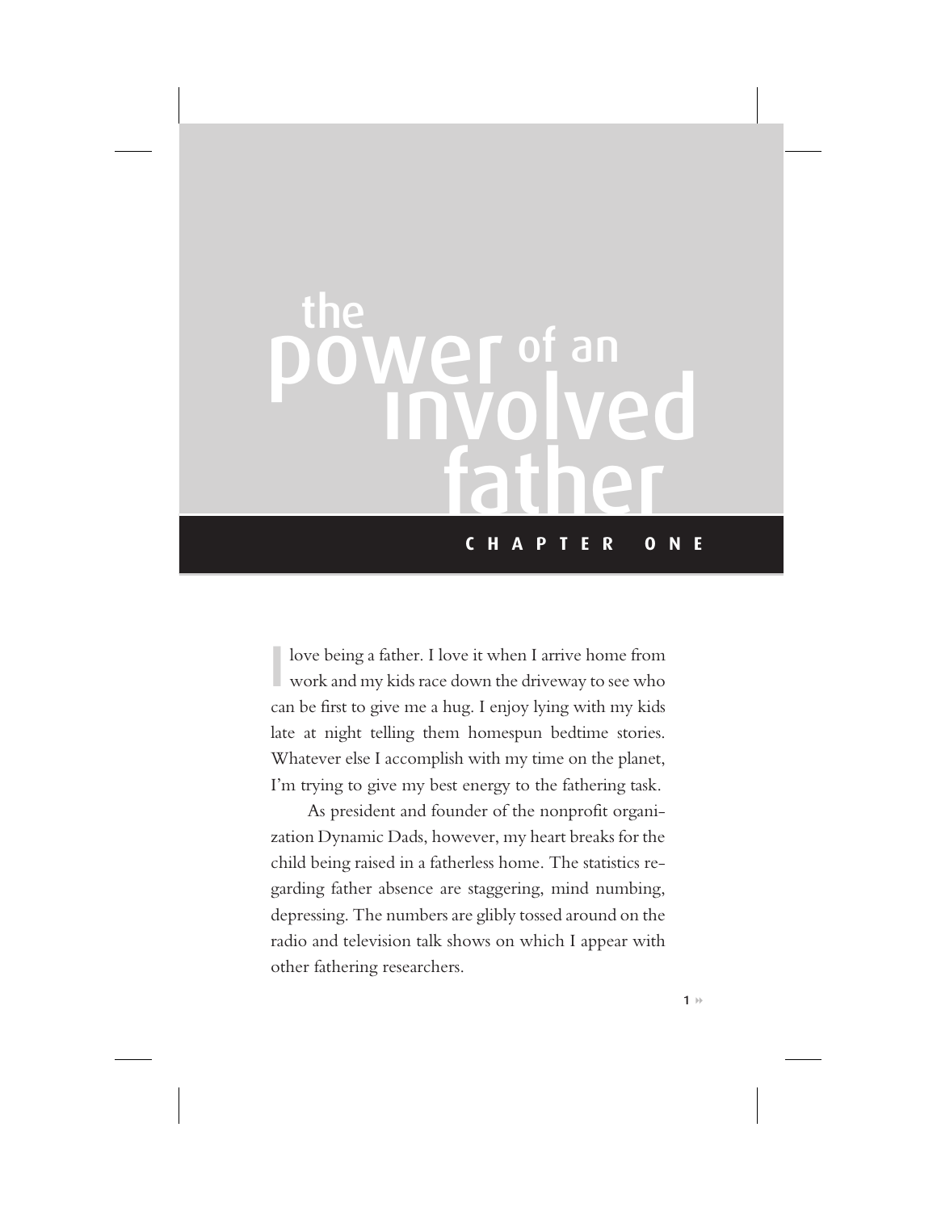# **HOW TO BE A HERO TO YOUR KIDS CHAPTER ONE** involved father the<br>**power** of an

I love being a father. I love it when I arrive home from work and my kids race down the driveway to see who can be first to give me a hug. I enjoy lying with my kids late at night telling them homespun bedtime stories. Whatever else I accomplish with my time on the planet, I'm trying to give my best energy to the fathering task.

As president and founder of the nonprofit organization Dynamic Dads, however, my heart breaks for the child being raised in a fatherless home. The statistics regarding father absence are staggering, mind numbing, depressing. The numbers are glibly tossed around on the radio and television talk shows on which I appear with other fathering researchers.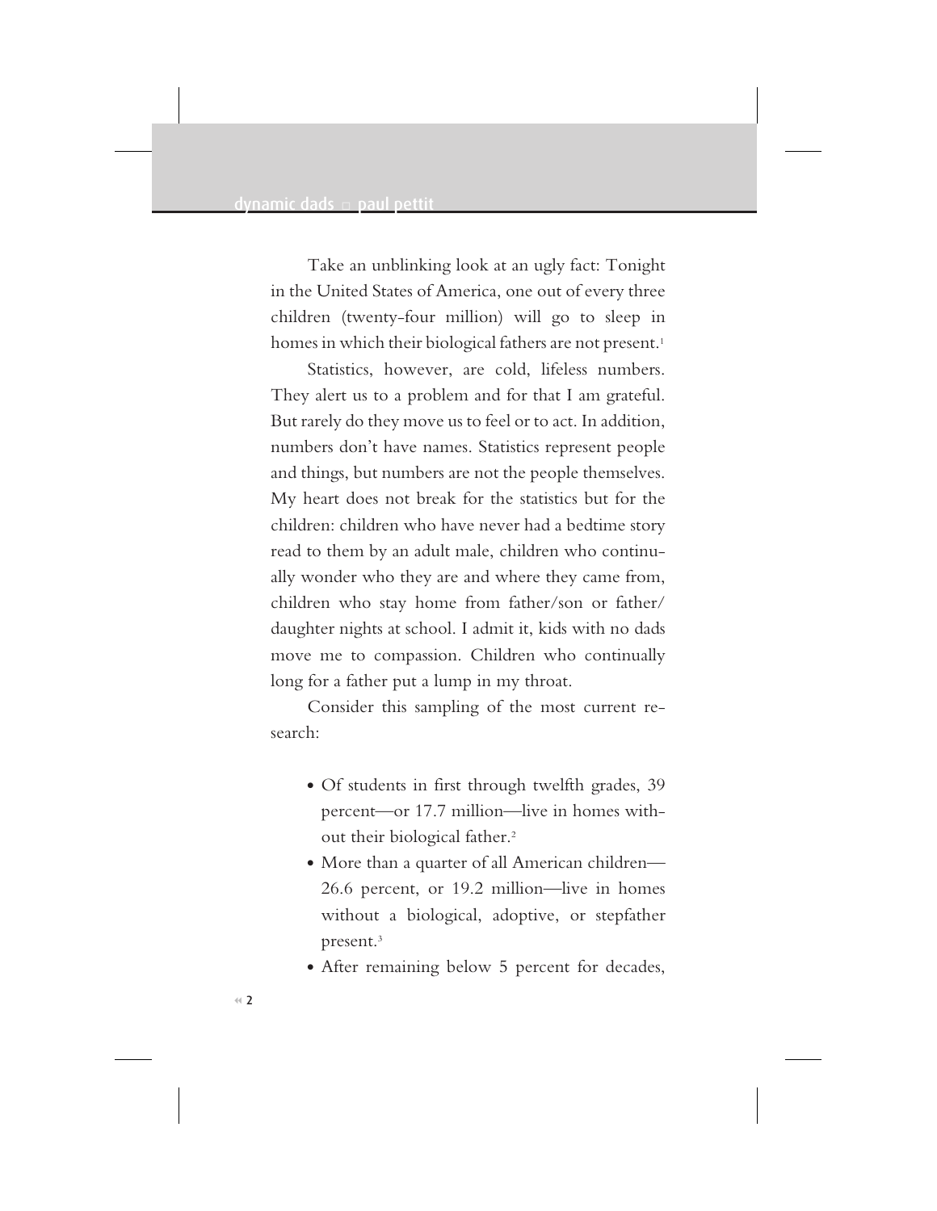Take an unblinking look at an ugly fact: Tonight in the United States of America, one out of every three children (twenty-four million) will go to sleep in homes in which their biological fathers are not present.<sup>1</sup>

Statistics, however, are cold, lifeless numbers. They alert us to a problem and for that I am grateful. But rarely do they move us to feel or to act. In addition, numbers don't have names. Statistics represent people and things, but numbers are not the people themselves. My heart does not break for the statistics but for the children: children who have never had a bedtime story read to them by an adult male, children who continually wonder who they are and where they came from, children who stay home from father/son or father/ daughter nights at school. I admit it, kids with no dads move me to compassion. Children who continually long for a father put a lump in my throat.

Consider this sampling of the most current research:

- Of students in first through twelfth grades, 39 percent—or 17.7 million—live in homes without their biological father.<sup>2</sup>
- More than a quarter of all American children-26.6 percent, or 19.2 million—live in homes without a biological, adoptive, or stepfather present.3
- After remaining below 5 percent for decades,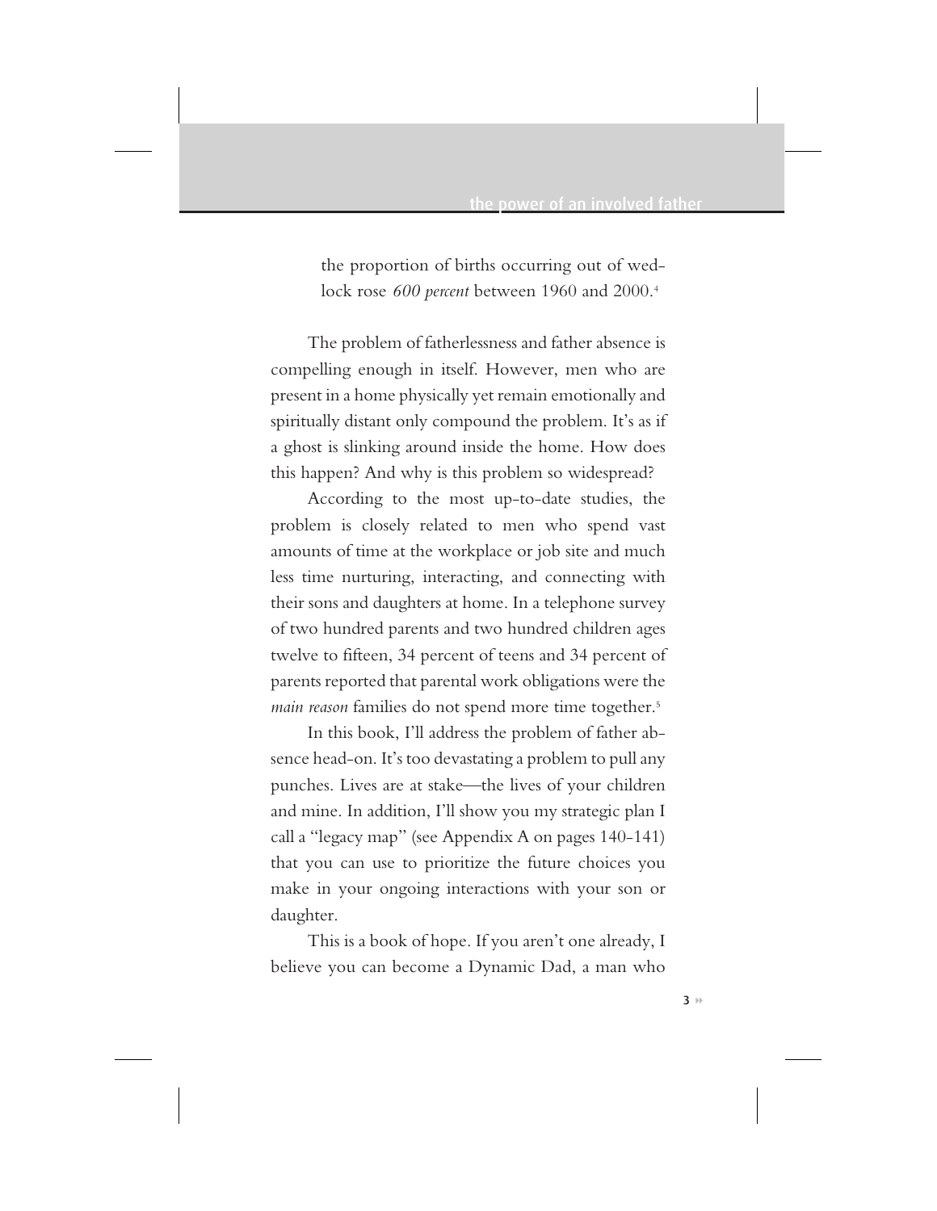the proportion of births occurring out of wedlock rose *600 percent* between 1960 and 2000.4

The problem of fatherlessness and father absence is compelling enough in itself. However, men who are present in a home physically yet remain emotionally and spiritually distant only compound the problem. It's as if a ghost is slinking around inside the home. How does this happen? And why is this problem so widespread?

According to the most up-to-date studies, the problem is closely related to men who spend vast amounts of time at the workplace or job site and much less time nurturing, interacting, and connecting with their sons and daughters at home. In a telephone survey of two hundred parents and two hundred children ages twelve to fifteen, 34 percent of teens and 34 percent of parents reported that parental work obligations were the *main reason* families do not spend more time together.5

In this book, I'll address the problem of father absence head-on. It's too devastating a problem to pull any punches. Lives are at stake—the lives of your children and mine. In addition, I'll show you my strategic plan I call a "legacy map" (see Appendix A on pages 140-141) that you can use to prioritize the future choices you make in your ongoing interactions with your son or daughter.

This is a book of hope. If you aren't one already, I believe you can become a Dynamic Dad, a man who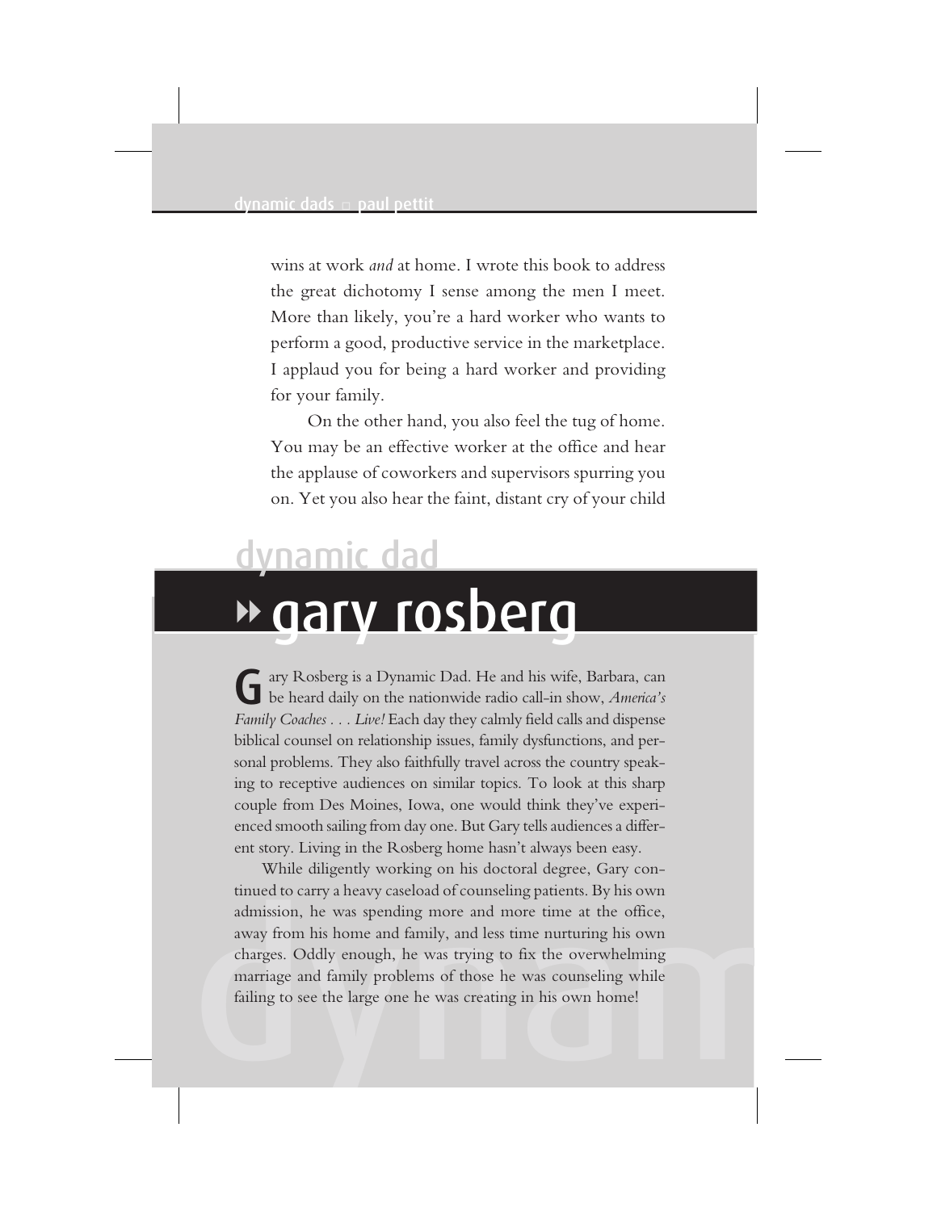wins at work *and* at home. I wrote this book to address the great dichotomy I sense among the men I meet. More than likely, you're a hard worker who wants to perform a good, productive service in the marketplace. I applaud you for being a hard worker and providing for your family.

On the other hand, you also feel the tug of home. You may be an effective worker at the office and hear the applause of coworkers and supervisors spurring you on. Yet you also hear the faint, distant cry of your child

## gary rosberg dynamic dad

Gary Rosberg is a Dynamic Dad. He and his wife, Barbara, can be heard daily on the nationwide radio call-in show, *America's Family Coaches... Live!* Each day they calmly field calls and dispense biblical counsel on relationship issues, family dysfunctions, and personal problems. They also faithfully travel across the country speaking to receptive audiences on similar topics. To look at this sharp couple from Des Moines, Iowa, one would think they've experienced smooth sailing from day one. But Gary tells audiences a different story. Living in the Rosberg home hasn't always been easy.

admission, he was spending more and more time at the office,<br>away from his home and family, and less time nurturing his own<br>charges. Oddly enough, he was trying to fix the overwhelming<br>marriage and family problems of those While diligently working on his doctoral degree, Gary continued to carry a heavy caseload of counseling patients. By his own admission, he was spending more and more time at the office, away from his home and family, and less time nurturing his own charges. Oddly enough, he was trying to fix the overwhelming marriage and family problems of those he was counseling while failing to see the large one he was creating in his own home!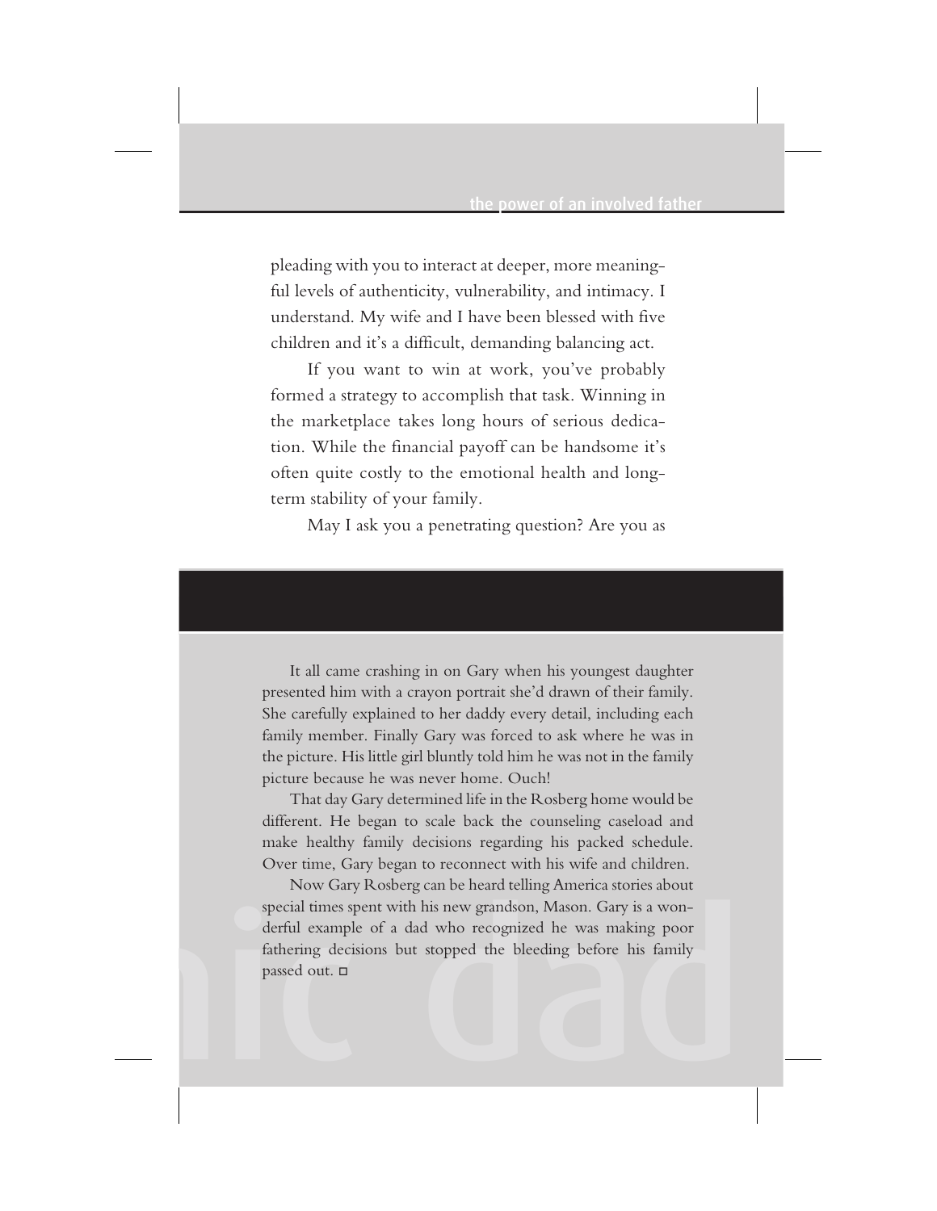pleading with you to interact at deeper, more meaningful levels of authenticity, vulnerability, and intimacy. I understand. My wife and I have been blessed with five children and it's a difficult, demanding balancing act.

If you want to win at work, you've probably formed a strategy to accomplish that task. Winning in the marketplace takes long hours of serious dedication. While the financial payoff can be handsome it's often quite costly to the emotional health and longterm stability of your family.

May I ask you a penetrating question? Are you as

It all came crashing in on Gary when his youngest daughter presented him with a crayon portrait she'd drawn of their family. She carefully explained to her daddy every detail, including each family member. Finally Gary was forced to ask where he was in the picture. His little girl bluntly told him he was not in the family picture because he was never home. Ouch!

That day Gary determined life in the Rosberg home would be different. He began to scale back the counseling caseload and make healthy family decisions regarding his packed schedule. Over time, Gary began to reconnect with his wife and children.

special times spent with his new grandson, Mason. Gary is a won-<br>derful example of a dad who recognized he was making poor<br>fathering decisions but stopped the bleeding before his family<br>passed out.  $\square$ Now Gary Rosberg can be heard telling America stories about special times spent with his new grandson, Mason. Gary is a wonderful example of a dad who recognized he was making poor fathering decisions but stopped the bleeding before his family passed out. □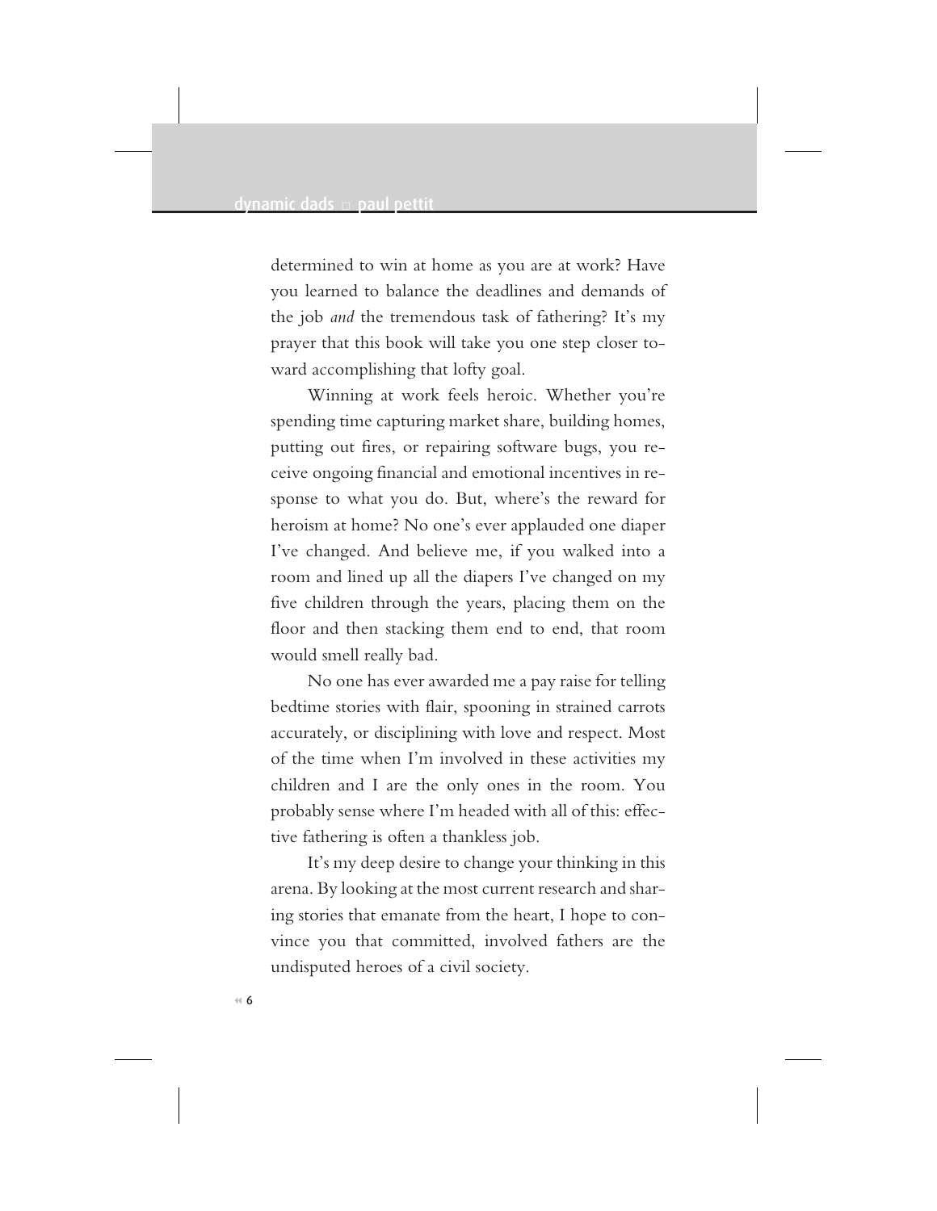determined to win at home as you are at work? Have you learned to balance the deadlines and demands of the job *and* the tremendous task of fathering? It's my prayer that this book will take you one step closer toward accomplishing that lofty goal.

Winning at work feels heroic. Whether you're spending time capturing market share, building homes, putting out fires, or repairing software bugs, you receive ongoing financial and emotional incentives in response to what you do. But, where's the reward for heroism at home? No one's ever applauded one diaper I've changed. And believe me, if you walked into a room and lined up all the diapers I've changed on my five children through the years, placing them on the floor and then stacking them end to end, that room would smell really bad.

No one has ever awarded me a pay raise for telling bedtime stories with flair, spooning in strained carrots accurately, or disciplining with love and respect. Most of the time when I'm involved in these activities my children and I are the only ones in the room. You probably sense where I'm headed with all of this: effective fathering is often a thankless job.

It's my deep desire to change your thinking in this arena. By looking at the most current research and sharing stories that emanate from the heart, I hope to convince you that committed, involved fathers are the undisputed heroes of a civil society.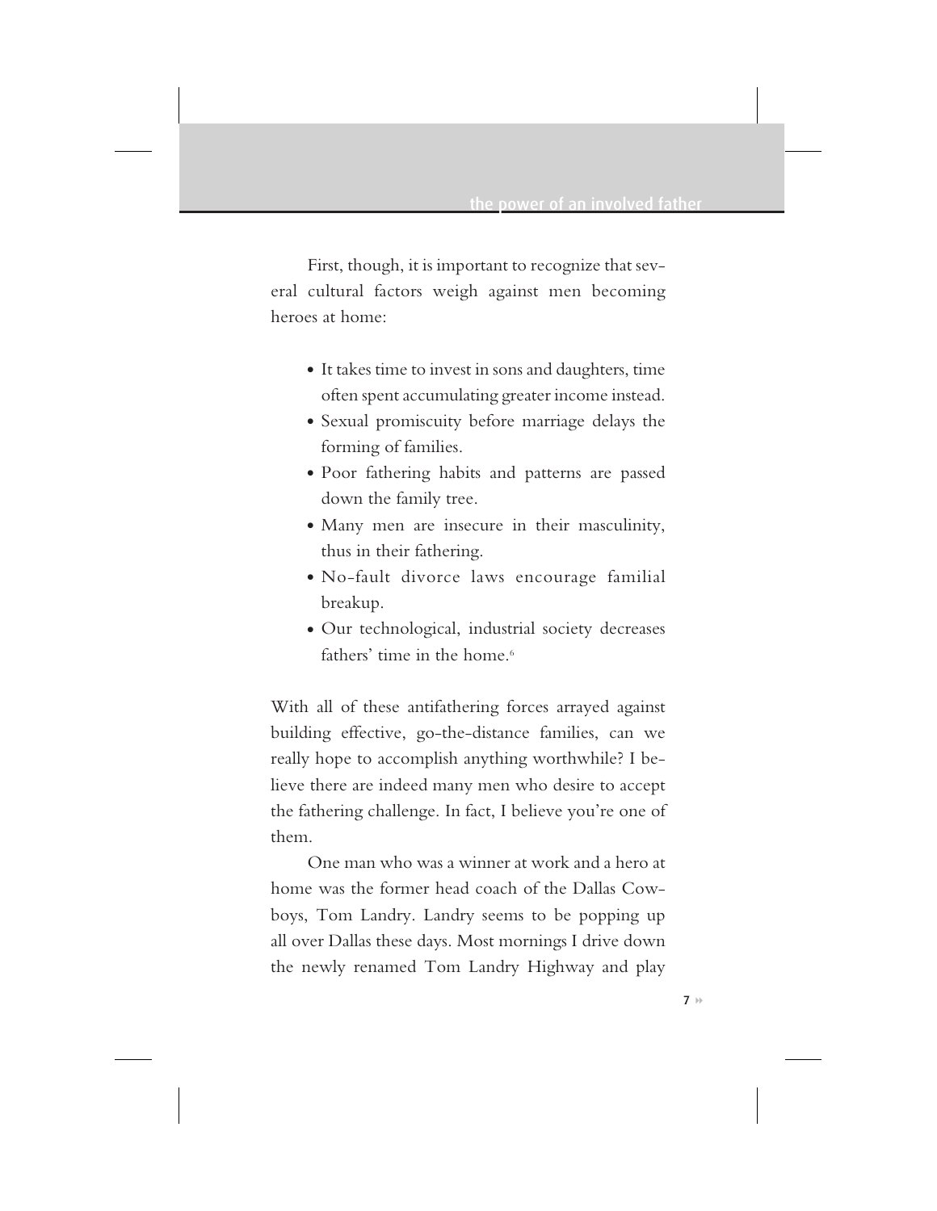First, though, it is important to recognize that several cultural factors weigh against men becoming heroes at home:

- It takes time to invest in sons and daughters, time often spent accumulating greater income instead.
- Sexual promiscuity before marriage delays the forming of families.
- Poor fathering habits and patterns are passed down the family tree.
- Many men are insecure in their masculinity, thus in their fathering.
- No-fault divorce laws encourage familial breakup.
- Our technological, industrial society decreases fathers' time in the home.<sup>6</sup>

With all of these antifathering forces arrayed against building effective, go-the-distance families, can we really hope to accomplish anything worthwhile? I believe there are indeed many men who desire to accept the fathering challenge. In fact, I believe you're one of them.

One man who was a winner at work and a hero at home was the former head coach of the Dallas Cowboys, Tom Landry. Landry seems to be popping up all over Dallas these days. Most mornings I drive down the newly renamed Tom Landry Highway and play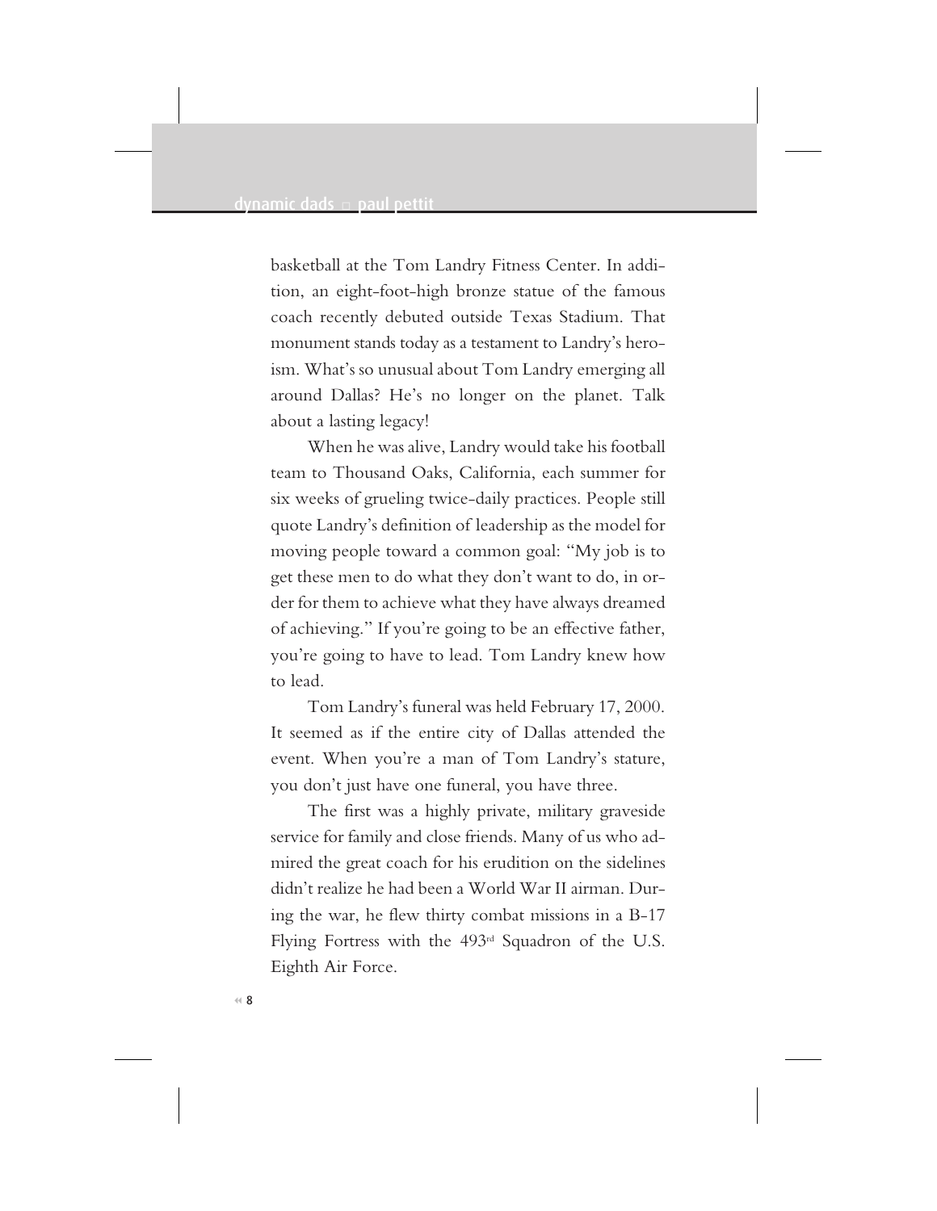basketball at the Tom Landry Fitness Center. In addition, an eight-foot-high bronze statue of the famous coach recently debuted outside Texas Stadium. That monument stands today as a testament to Landry's heroism. What's so unusual about Tom Landry emerging all around Dallas? He's no longer on the planet. Talk about a lasting legacy!

When he was alive, Landry would take his football team to Thousand Oaks, California, each summer for six weeks of grueling twice-daily practices. People still quote Landry's definition of leadership as the model for moving people toward a common goal: "My job is to get these men to do what they don't want to do, in order for them to achieve what they have always dreamed of achieving." If you're going to be an effective father, you're going to have to lead. Tom Landry knew how to lead.

Tom Landry's funeral was held February 17, 2000. It seemed as if the entire city of Dallas attended the event. When you're a man of Tom Landry's stature, you don't just have one funeral, you have three.

The first was a highly private, military graveside service for family and close friends. Many of us who admired the great coach for his erudition on the sidelines didn't realize he had been a World War II airman. During the war, he flew thirty combat missions in a B-17 Flying Fortress with the 493rd Squadron of the U.S. Eighth Air Force.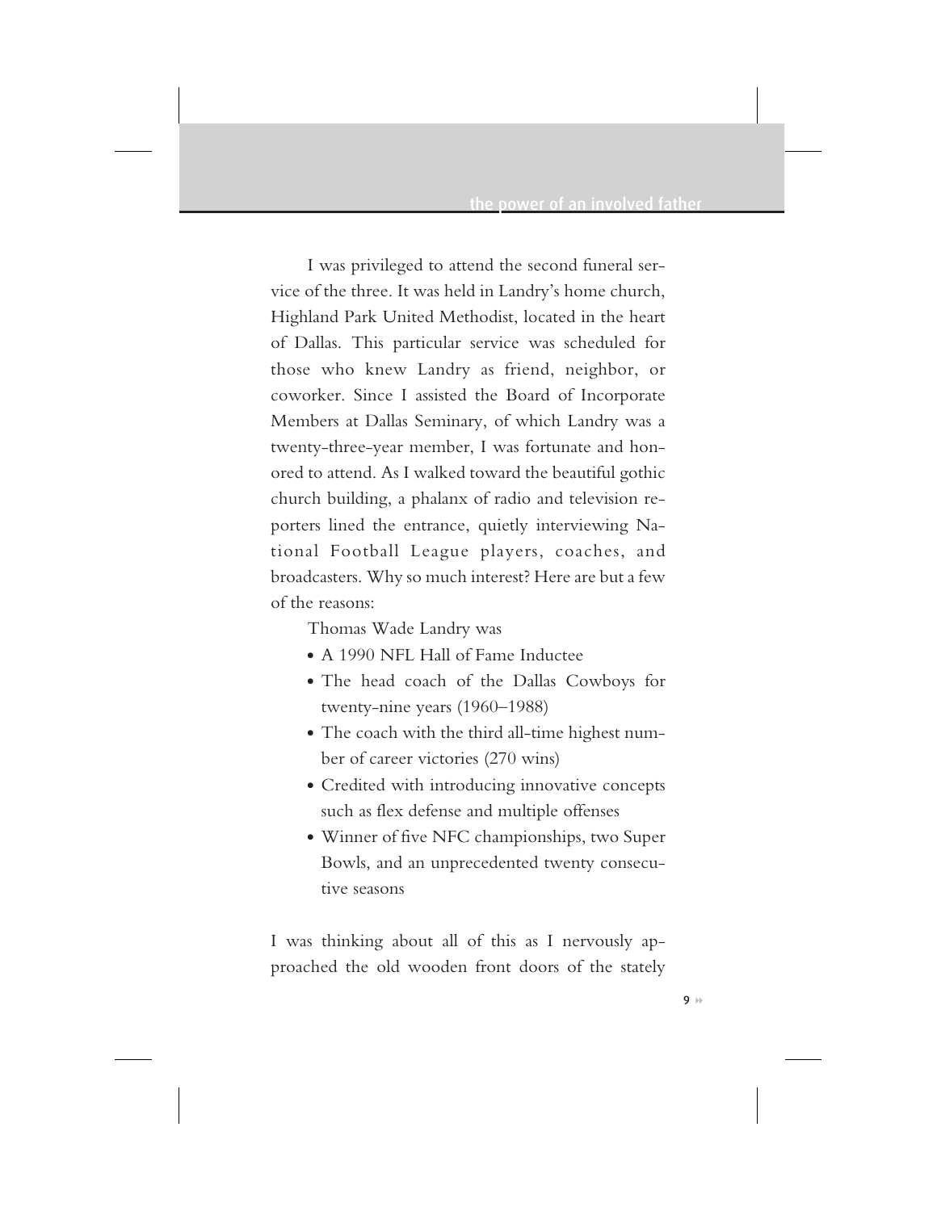I was privileged to attend the second funeral service of the three. It was held in Landry's home church, Highland Park United Methodist, located in the heart of Dallas. This particular service was scheduled for those who knew Landry as friend, neighbor, or coworker. Since I assisted the Board of Incorporate Members at Dallas Seminary, of which Landry was a twenty-three-year member, I was fortunate and honored to attend. As I walked toward the beautiful gothic church building, a phalanx of radio and television reporters lined the entrance, quietly interviewing National Football League players, coaches, and broadcasters. Why so much interest? Here are but a few of the reasons:

Thomas Wade Landry was

- A 1990 NFL Hall of Fame Inductee
- The head coach of the Dallas Cowboys for twenty-nine years (1960–1988)
- The coach with the third all-time highest number of career victories (270 wins)
- Credited with introducing innovative concepts such as flex defense and multiple offenses
- Winner of five NFC championships, two Super Bowls, and an unprecedented twenty consecutive seasons

I was thinking about all of this as I nervously approached the old wooden front doors of the stately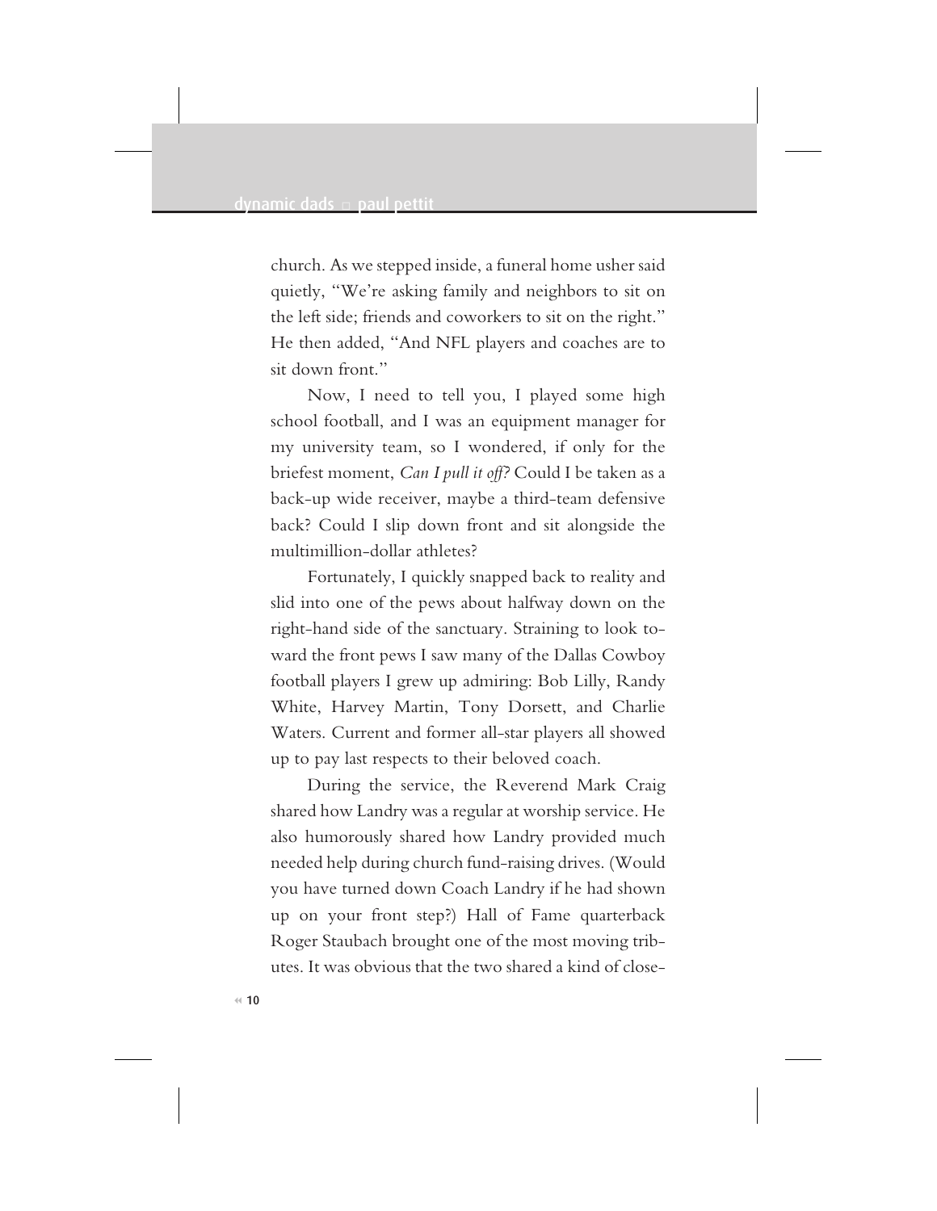church. As we stepped inside, a funeral home usher said quietly, "We're asking family and neighbors to sit on the left side; friends and coworkers to sit on the right." He then added, "And NFL players and coaches are to sit down front."

Now, I need to tell you, I played some high school football, and I was an equipment manager for my university team, so I wondered, if only for the briefest moment, *Can I pull it off?* Could I be taken as a back-up wide receiver, maybe a third-team defensive back? Could I slip down front and sit alongside the multimillion-dollar athletes?

Fortunately, I quickly snapped back to reality and slid into one of the pews about halfway down on the right-hand side of the sanctuary. Straining to look toward the front pews I saw many of the Dallas Cowboy football players I grew up admiring: Bob Lilly, Randy White, Harvey Martin, Tony Dorsett, and Charlie Waters. Current and former all-star players all showed up to pay last respects to their beloved coach.

During the service, the Reverend Mark Craig shared how Landry was a regular at worship service. He also humorously shared how Landry provided much needed help during church fund-raising drives. (Would you have turned down Coach Landry if he had shown up on your front step?) Hall of Fame quarterback Roger Staubach brought one of the most moving tributes. It was obvious that the two shared a kind of close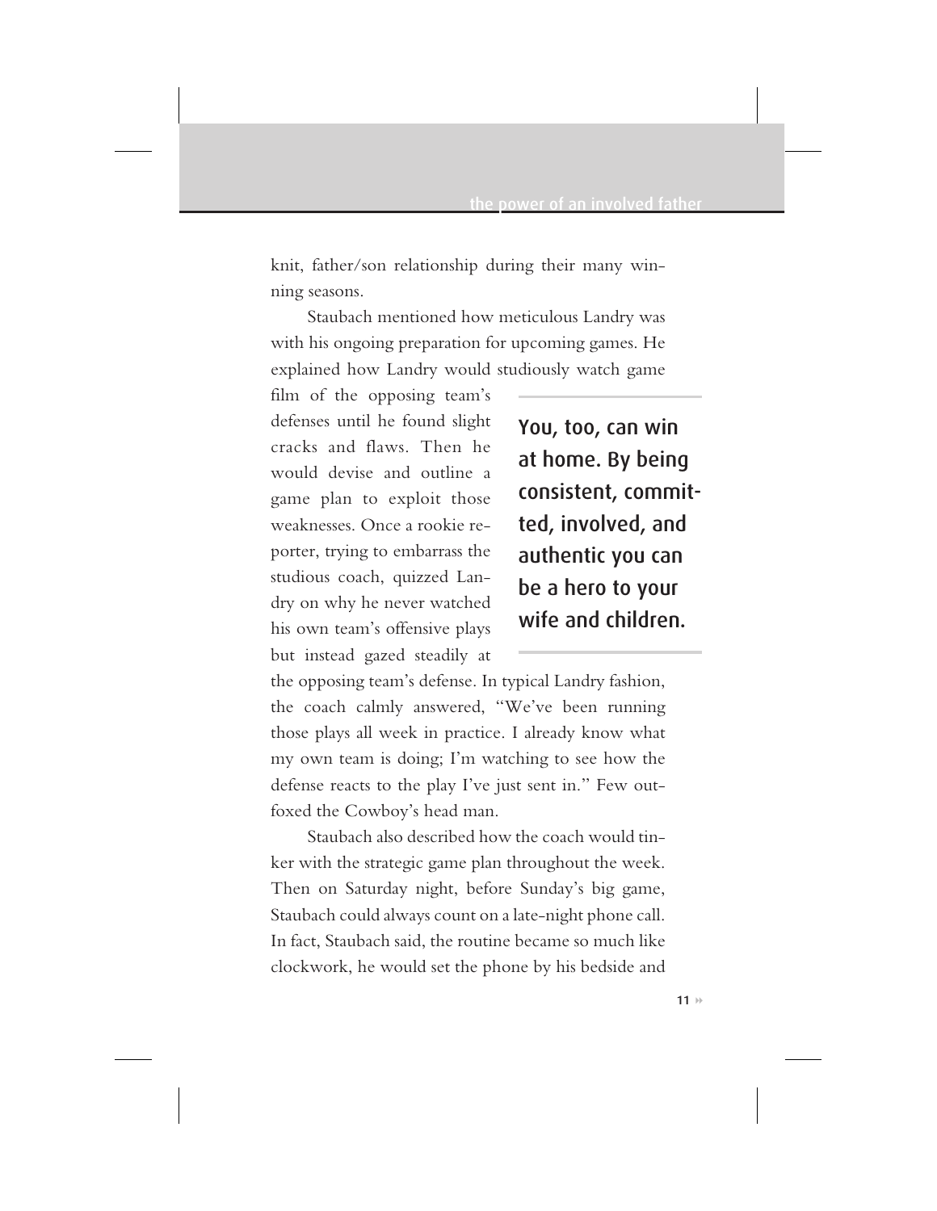knit, father/son relationship during their many winning seasons.

Staubach mentioned how meticulous Landry was with his ongoing preparation for upcoming games. He explained how Landry would studiously watch game

film of the opposing team's defenses until he found slight cracks and flaws. Then he would devise and outline a game plan to exploit those weaknesses. Once a rookie reporter, trying to embarrass the studious coach, quizzed Landry on why he never watched his own team's offensive plays but instead gazed steadily at

You, too, can win at home. By being consistent, committed, involved, and authentic you can be a hero to your wife and children.

the opposing team's defense. In typical Landry fashion, the coach calmly answered, "We've been running those plays all week in practice. I already know what my own team is doing; I'm watching to see how the defense reacts to the play I've just sent in." Few outfoxed the Cowboy's head man.

Staubach also described how the coach would tinker with the strategic game plan throughout the week. Then on Saturday night, before Sunday's big game, Staubach could always count on a late-night phone call. In fact, Staubach said, the routine became so much like clockwork, he would set the phone by his bedside and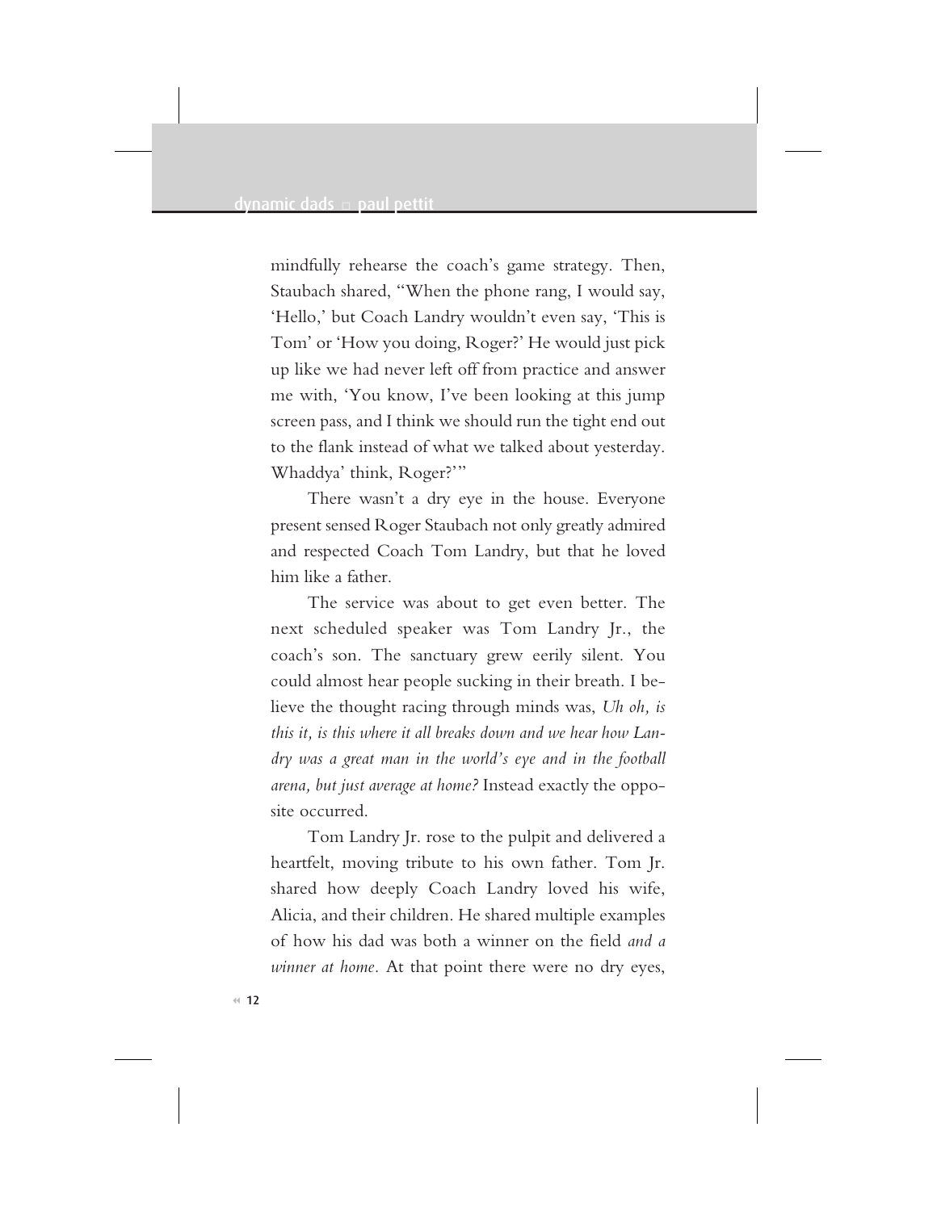mindfully rehearse the coach's game strategy. Then, Staubach shared, "When the phone rang, I would say, 'Hello,' but Coach Landry wouldn't even say, 'This is Tom' or 'How you doing, Roger?' He would just pick up like we had never left off from practice and answer me with, 'You know, I've been looking at this jump screen pass, and I think we should run the tight end out to the flank instead of what we talked about yesterday. Whaddya' think, Roger?'"

There wasn't a dry eye in the house. Everyone present sensed Roger Staubach not only greatly admired and respected Coach Tom Landry, but that he loved him like a father.

The service was about to get even better. The next scheduled speaker was Tom Landry Jr., the coach's son. The sanctuary grew eerily silent. You could almost hear people sucking in their breath. I believe the thought racing through minds was, *Uh oh, is this it, is this where it all breaks down and we hear how Landry was a great man in the world's eye and in the football arena, but just average at home?* Instead exactly the opposite occurred.

Tom Landry Jr. rose to the pulpit and delivered a heartfelt, moving tribute to his own father. Tom Jr. shared how deeply Coach Landry loved his wife, Alicia, and their children. He shared multiple examples of how his dad was both a winner on the field *and a winner at home.* At that point there were no dry eyes,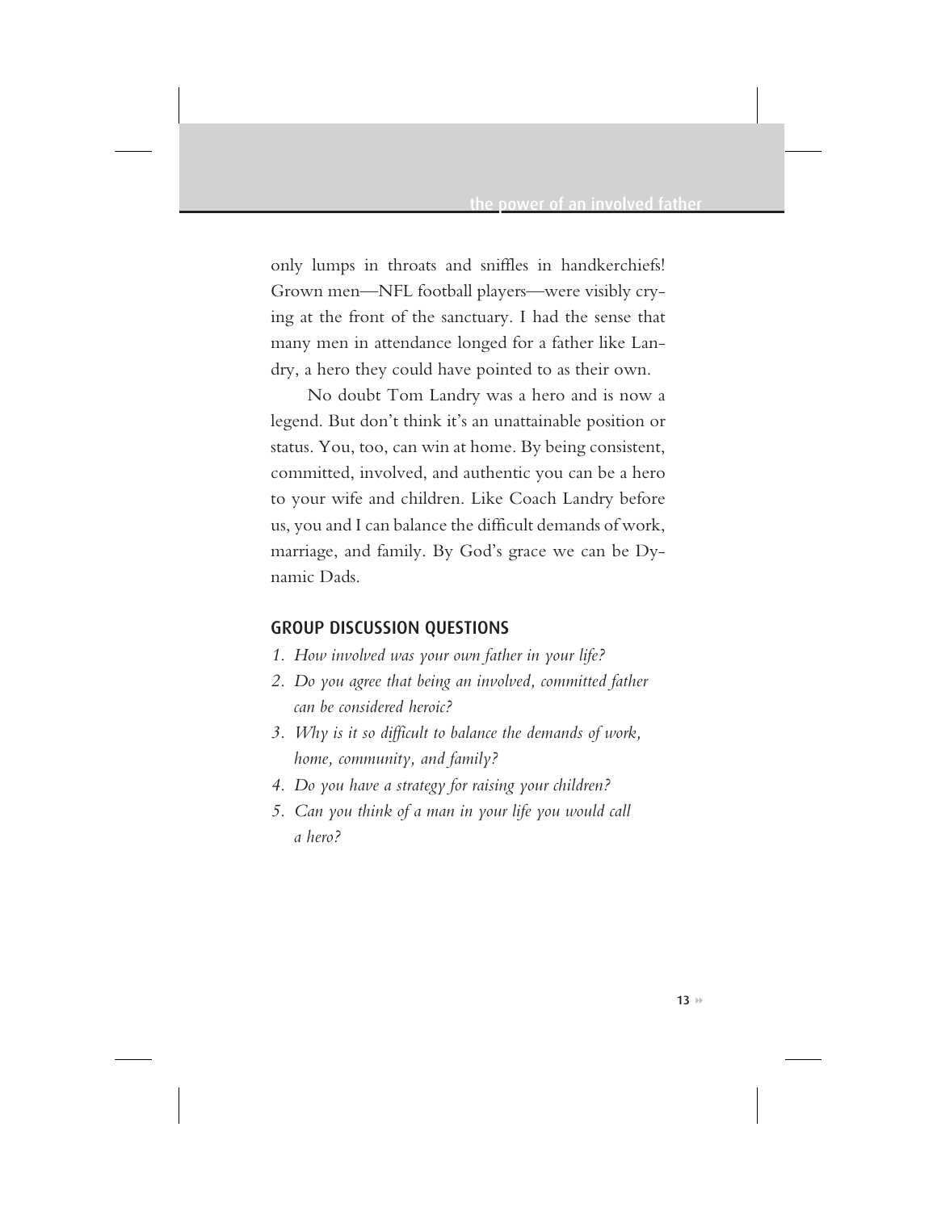only lumps in throats and sniffles in handkerchiefs! Grown men—NFL football players—were visibly crying at the front of the sanctuary. I had the sense that many men in attendance longed for a father like Landry, a hero they could have pointed to as their own.

No doubt Tom Landry was a hero and is now a legend. But don't think it's an unattainable position or status. You, too, can win at home. By being consistent, committed, involved, and authentic you can be a hero to your wife and children. Like Coach Landry before us, you and I can balance the difficult demands of work, marriage, and family. By God's grace we can be Dynamic Dads.

### GROUP DISCUSSION QUESTIONS

- *1. How involved was your own father in your life?*
- *2. Do you agree that being an involved, committed father can be considered heroic?*
- *3. Why is it so difficult to balance the demands of work, home, community, and family?*
- *4. Do you have a strategy for raising your children?*
- *5. Can you think of a man in your life you would call a hero?*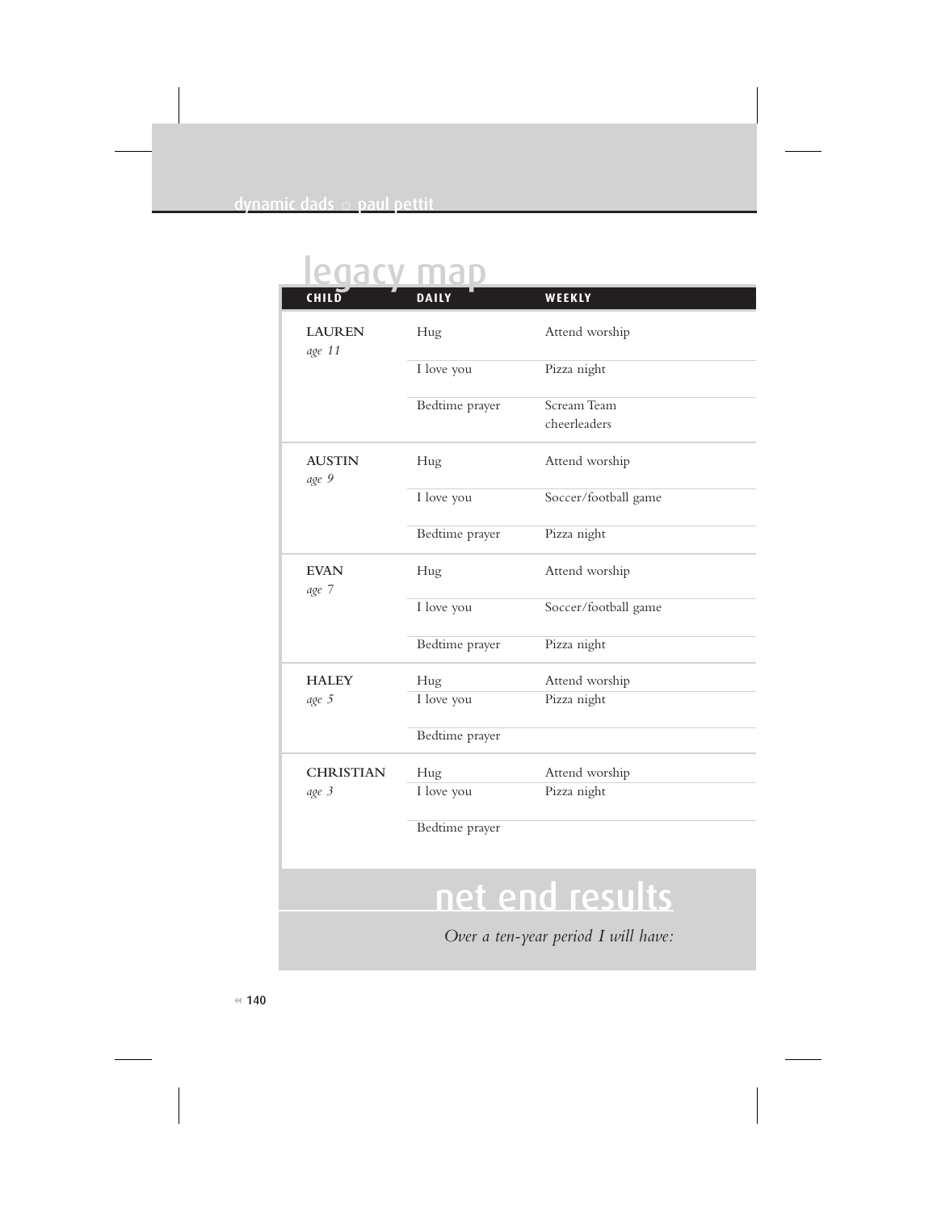## legacy map

| CHILD                     | <b>DAILY</b>                        | WEEKLY                      |  |
|---------------------------|-------------------------------------|-----------------------------|--|
| <b>LAUREN</b><br>age 11   | Hug                                 | Attend worship              |  |
|                           | I love you                          | Pizza night                 |  |
|                           | Bedtime prayer                      | Scream Team<br>cheerleaders |  |
| <b>AUSTIN</b><br>age 9    | Hug                                 | Attend worship              |  |
|                           | I love you                          | Soccer/football game        |  |
|                           | Bedtime prayer                      | Pizza night                 |  |
| <b>EVAN</b><br>age 7      | Hug                                 | Attend worship              |  |
|                           | I love you                          | Soccer/football game        |  |
|                           | Bedtime prayer                      | Pizza night                 |  |
| <b>HALEY</b>              | Hug                                 | Attend worship              |  |
| age 5                     | I love you                          | Pizza night                 |  |
|                           | Bedtime prayer                      |                             |  |
| <b>CHRISTIAN</b><br>age 3 | Hug                                 | Attend worship              |  |
|                           | I love you                          | Pizza night                 |  |
|                           | Bedtime prayer                      |                             |  |
|                           |                                     | net end results             |  |
|                           | Over a ten-year period I will have: |                             |  |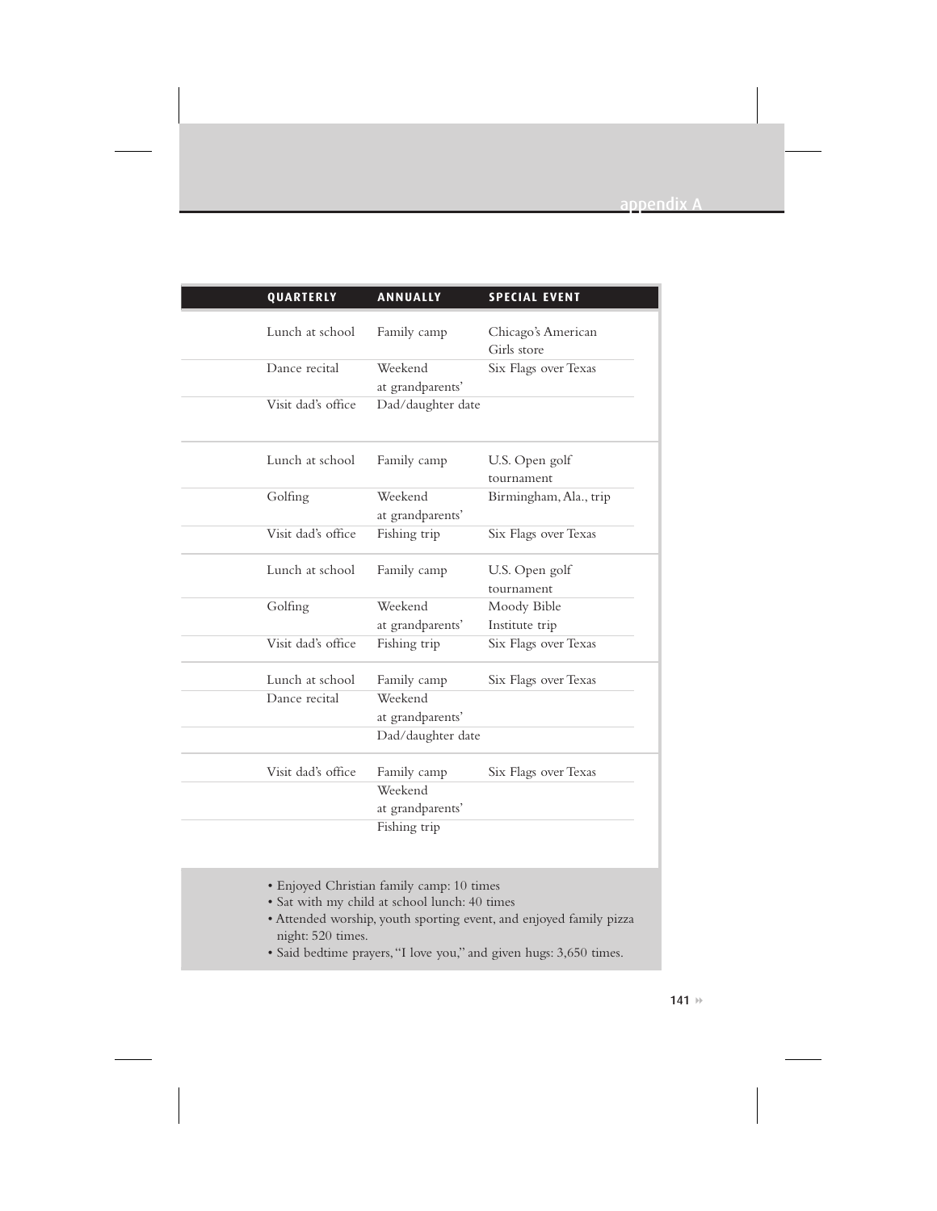| QUARTERLY          | <b>ANNUALLY</b>             | <b>SPECIAL EVENT</b>              |
|--------------------|-----------------------------|-----------------------------------|
| Lunch at school    | Family camp                 | Chicago's American<br>Girls store |
| Dance recital      | Weekend<br>at grandparents' | Six Flags over Texas              |
| Visit dad's office | Dad/daughter date           |                                   |
| Lunch at school    | Family camp                 | U.S. Open golf<br>tournament      |
| Golfing            | Weekend<br>at grandparents' | Birmingham, Ala., trip            |
| Visit dad's office | Fishing trip                | Six Flags over Texas              |
| Lunch at school    | Family camp                 | U.S. Open golf<br>tournament      |
| Golfing            | Weekend<br>at grandparents' | Moody Bible<br>Institute trip     |
| Visit dad's office | Fishing trip                | Six Flags over Texas              |
| Lunch at school    | Family camp                 | Six Flags over Texas              |
| Dance recital      | Weekend<br>at grandparents' |                                   |
|                    | Dad/daughter date           |                                   |
| Visit dad's office | Family camp<br>Weekend      | Six Flags over Texas              |
|                    | at grandparents'            |                                   |
|                    | Fishing trip                |                                   |

- Enjoyed Christian family camp: 10 times
- Sat with my child at school lunch: 40 times
- Attended worship, youth sporting event, and enjoyed family pizza night: 520 times.
- Said bedtime prayers,"I love you," and given hugs: 3,650 times.